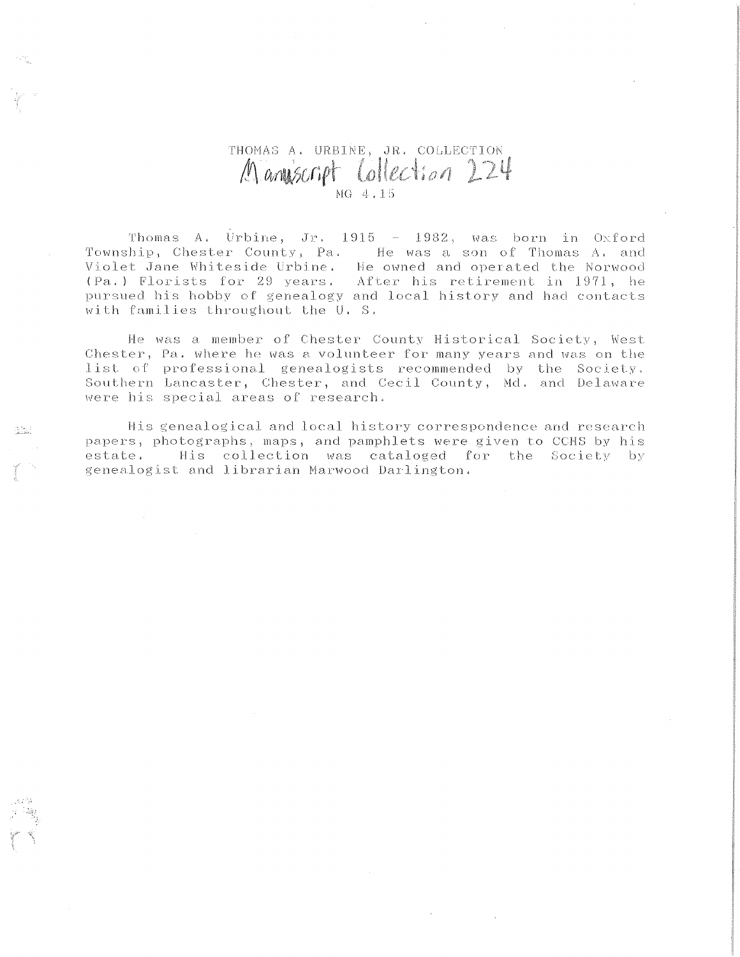## THOMAS A. URBINE, JR. COLLECTION Manuscript Collection 224

Thomas A. Urbine, Jr.  $1915 - 1982$ , was born in Oxford Township, Chester County, Pa. He was a son of Thomas A. and Violet Jane Whiteside Urbine. He owned and operated the Norwood (Pa.) Florists for 29 years. After his retirement in 1971, he pursued his hobby of genealogy and local history and had contacts with families throughout the U.S.

He was a member of Chester County Historical Society, West Chester, Pa. where he was a volunteer for many years and was on the list of professional genealogists recommended by the Society. Southern Lancaster, Chester, and Cecil County, Md. and Delaware were his special areas of research.

His genealogical and local history correspondence and research papers, photographs, maps, and pamphlets were given to CCHS by his estate. His collection was cataloged for the Society by genealogist and librarian Marwood Darlington.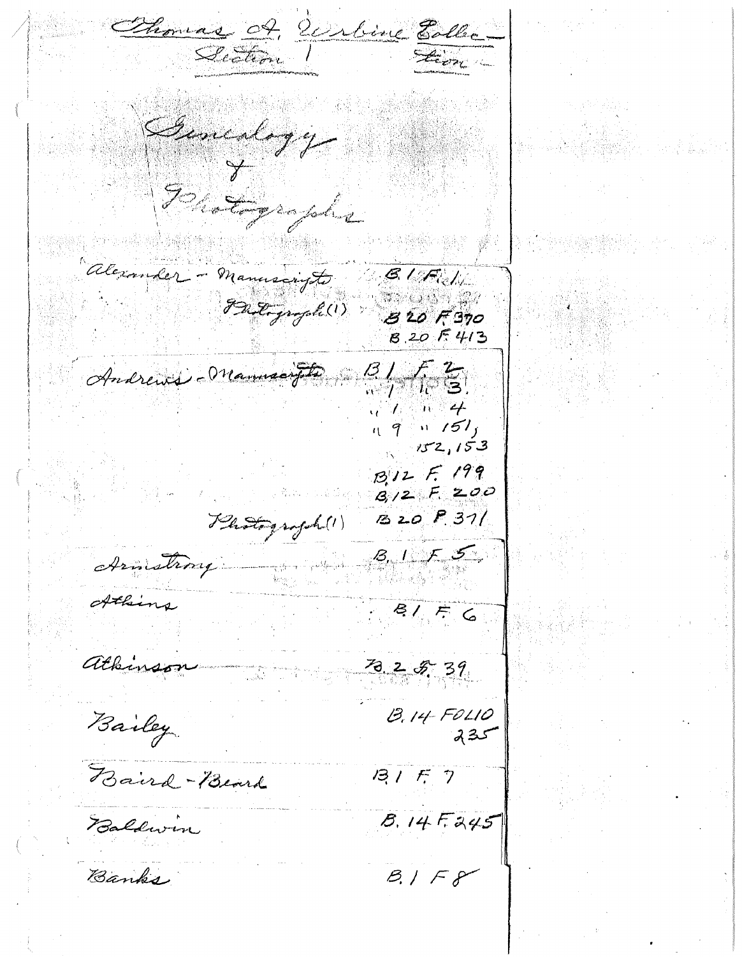Thomas A. Willie Elle From Generlagy Danton copie alexander - Manuscripts **BIFULL B 20 F 370**  $8.20F413$  $\frac{3}{\sqrt{7}}\frac{2}{10}$ Andrews Manusofts  $\mathcal{N} \subset \mathcal{N}$  $19 - 151$  $152, 153$ B.12 F. 199  $3/2$  F 200  $820P31$ Photograph (1)  $8.155$ Armstrong Athing  $8176$ athinson  $78.25.39$  $13.14 F0110$ <br> $235$ Bailey  $13157$ Baird-Beard  $8.14F.245$ Baldwin  $B/I$ Banks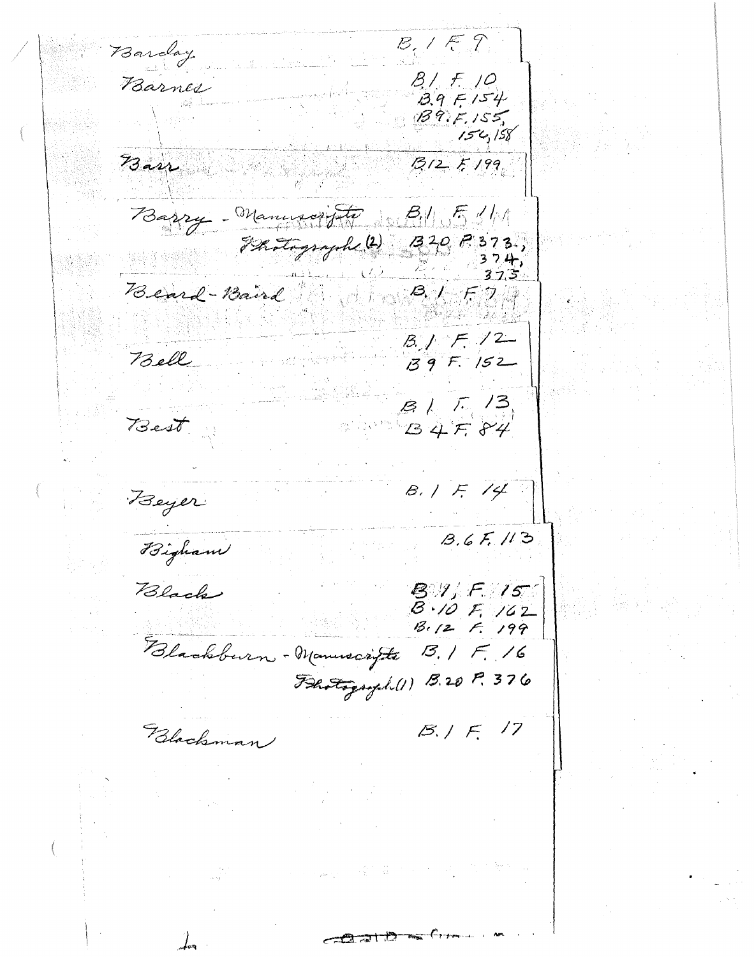$B_1$  /  $E_1$  ? Barday  $B/7.10$ Barnes  $3.9F154$  $BBF, 155$  $154,158$ Barr  $3125199$ Barry - Manuscripto B1151/1 Frotograph (2) 320 P 373.  $374$ 375. Beard-Band All 1916  $B_1$   $F_1$   $/2$ Bell  $139F.152$  $B / 7 / 3$ <br> $B + 7 / 7 / 4$ Best  $8.1514$ Beyer  $B.6F.113$ Bigham Black **B.I.** F. 15  $B \cdot 10 F 162$  $B.12 f. 199$ Blackburn - Manuscripte B. IF. 16 Flotograph (1) B.20 P. 376  $B.1 F. 17$ Blackman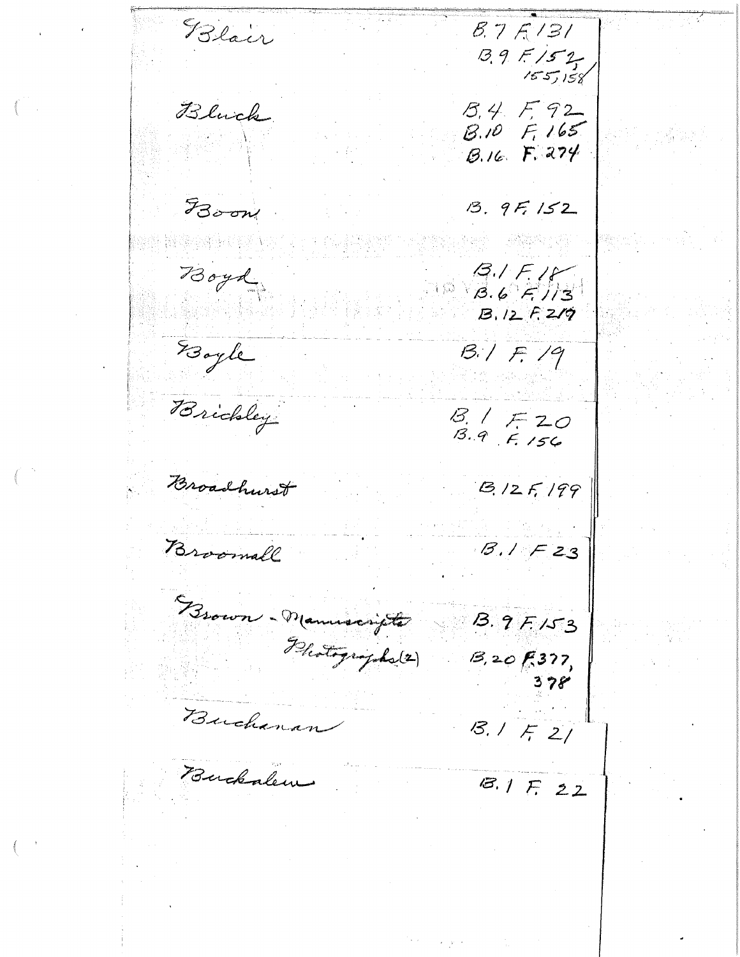Blair  $8.7K/31$  $3.9 F/52$  $155/158$ Bluck B.4 F.92  $8.10 F.165$ B.16 F. 274 FBoom  $13.9F, 152$ Boyd  $3151$ <br> $36713$  $B.12F.219$ Boyle  $B.1F.19$ Brickley  $8.1720$ <br> $8.97156$ Broadhurst  $3/2$   $F$ , 199 Broomall  $B.1F23$ Brown - Manuscripts  $B.9F153$ Photographs (2)  $B, 20F.377$  $378$ Buchanan  $8.1521$ Buckalem  $8.1F22$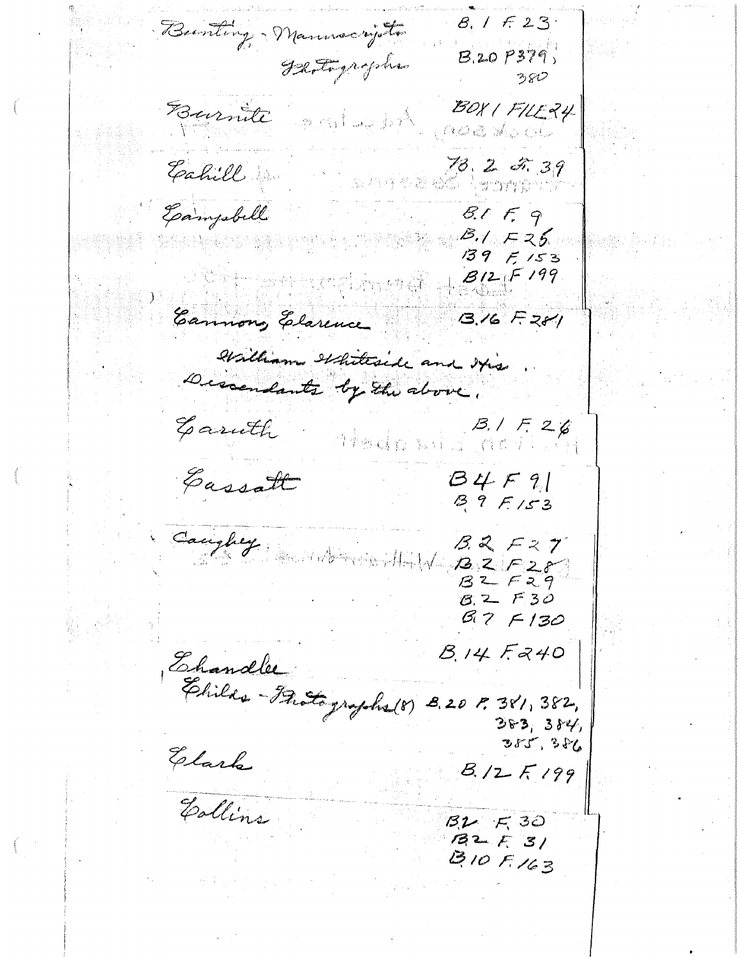$8, 1723$ Burting - Manuscripto  $8.20P379$ Flatigrophe ろちむ Eurnite and weight BOXIFILE24  $\alpha$ ad  $\mathbb{Z}_p$  of 78.2 2.39 Eahill . 公共存参激品类 Samery and  $8.159$ Gampbell  $3.1725$  $139F153$  $B12F199$ Cannong Elarence  $3.16F281$ William Whiteside and Itis Descendants by the above. Garuth  $B, 1 F, 26$ 4 bals si 香蕉 乐于 (C) 行 Cassatt  $B4F9$  $39F153$ Caughty Mornardt  $B.2F27$  $2222$  $8.2 F30$  $B.7F130$ Ehandler<br>Ehilds-Frotographs (8) 8.20 P. 381, 382,<br>383, 384<br>383, 384  $383, 384,$  $355, 386$ Elark  $B_{1}/2$   $F_{199}$ Collins  $B2F$   $F3O$  $132F31$  $310F163$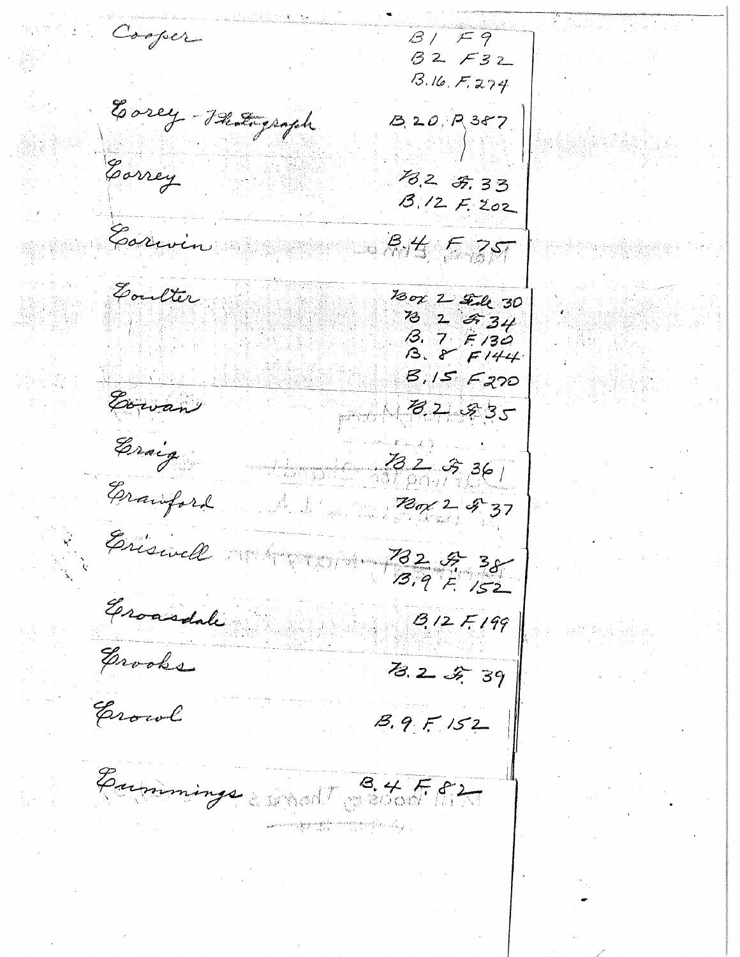Cooper  $\beta$  /  $F9$  $32732$  $13.16, F, 274$ Easey - Photograph  $3.20.7387$ Correy 18.2 F. 33<br>B. 12 F. 202 Carwin  $34577$ Goulter 130x 2 Fede 30 73 2 2 34  $13.7$   $F130$ <br> $13.8$   $F144$  $3,15$   $-220$ Cowan  $182.85$ Eraig  $361$ Erauford  $780/2937$ Eriswell 782 F 38 Groasdale  $8/2$  F 199 Grooks 78.2 2 39 Erowl  $8.9F152$ Eummings would St Ff2 gan an ang panganggan na matatag ang pangangan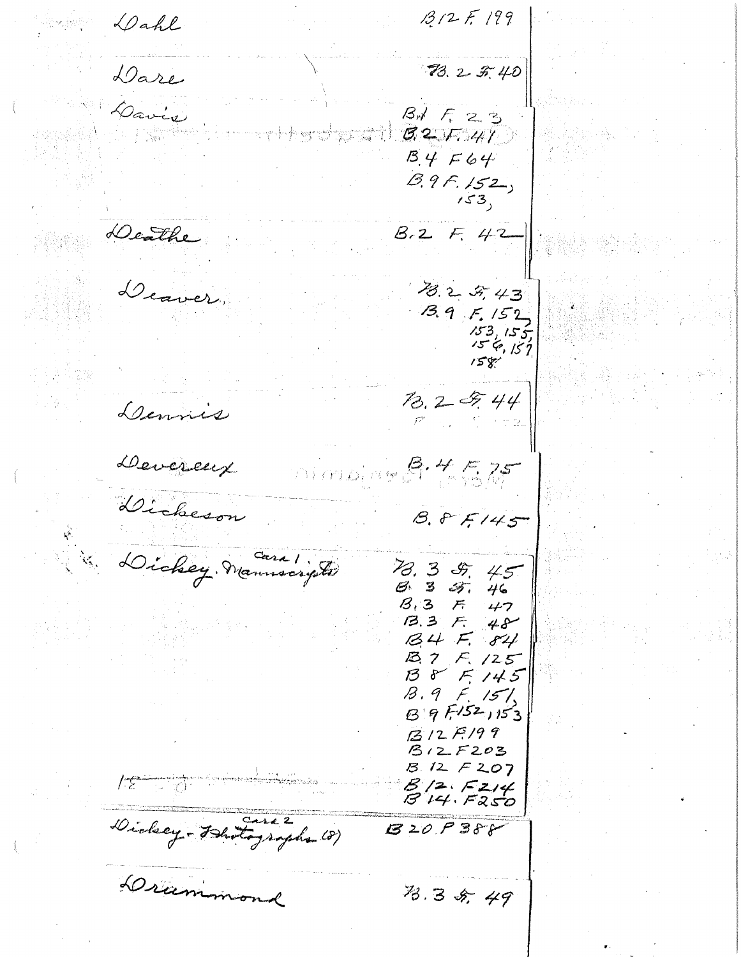$1312F199$ Dahl 78.2 5.40 Dare Davis  $\mathcal{B}$  $\neq$   $\mathcal{F}$  23  $8257.41$  $B.4F64$  $B.9F.152$  $153,$ Deathe  $B.2 F. 42$ Deaver. 13.2 5, 43  $3.9F.152$  $153, 155$ <br> $154, 157$ <br> $158$  $\frac{7}{2}$ , 2 5, 44 Dennies Deverent  $3.4525$ Dickeson  $8.85145$ Dickey Manuscripte 78.3 8.45  $633.46$  $8.3$  F 47<br>B.3 F 48  $34F.84$ B. 7 F. 125  $B85145$  $13.9$  F. 15%  $B9F152153$  $1312F199$  $B12F203$  $3.12 F207$  $1.5$  $B/2$   $F2/4$ <br> $B$   $14.$   $F250$ Dickey - Bhotographs (8)  $8200388$ Drammond 73.3 5, 49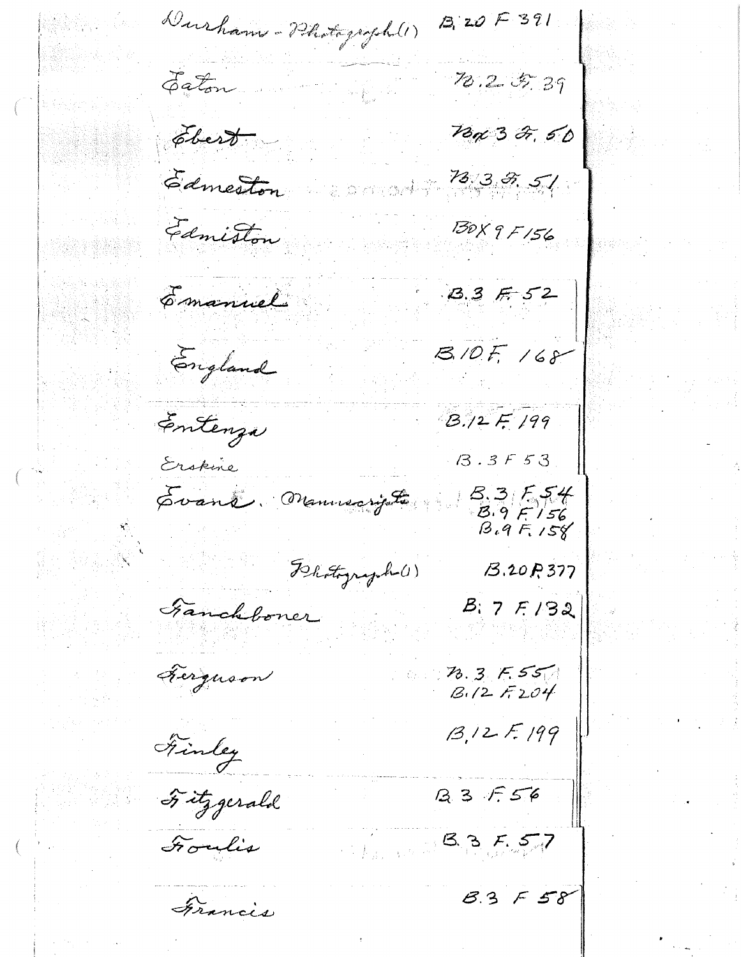$13,205391$ Durham - Photograph (1)  $78.25.39$ Eaton. 78p 3 2<del>,</del> 50 Ebert-73.3.5.51 Edmeston 130 X 9 F 156 Edmiston  $3.3752$ Emanuel  $8.10F, 168$ England Entenza  $B.12F.199$  $13.3F53$ Erskine Svant, Manuscripte  $3,3,5,54$ <br> $3,9,5,56$ <br> $3,9,5,56$ Flatyright  $B.20P.377$ Fanchboner  $B: 7F/32$ Ferguson  $78.3$   $F.55$  $13, 12$  F. 199 Finley B 3 F 56 Titzgerald  $83557$ Foulis  $83558$ Francis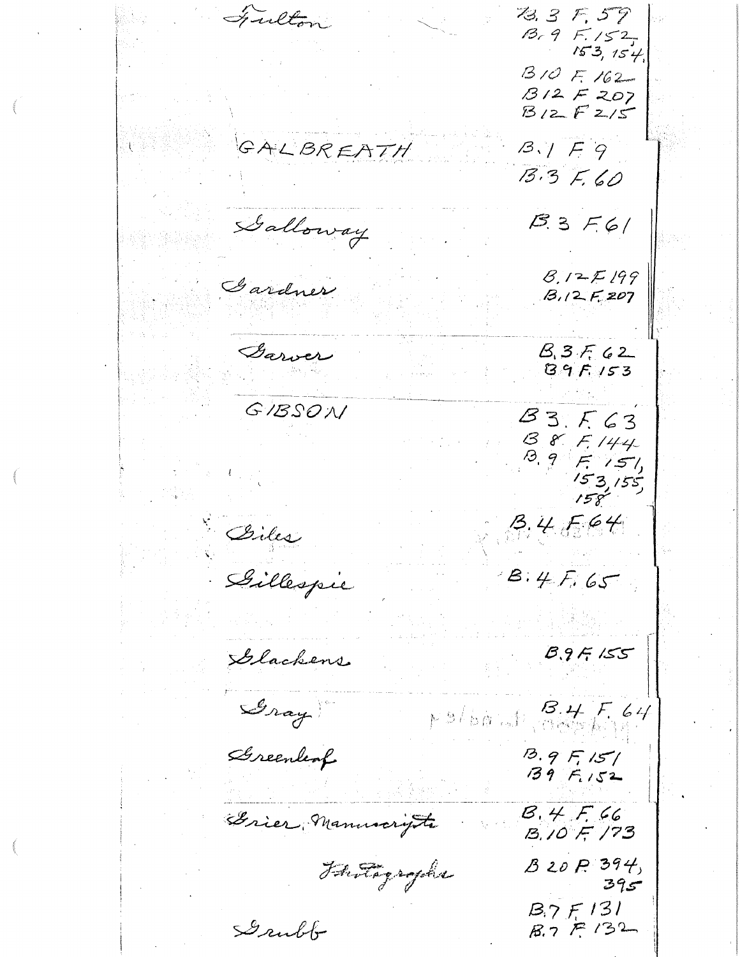Fulton 73.3 F, 59  $13, 9$   $F.152$  $153, 154$  $310F.162 B12F207$  $B12F215$ GALBREATH  $B.1F9$  $13.3 F.60$ Galloway  $B.3F6/$  $8.12E199$ Gardner  $B.12F.207$ Garver  $B.3F.62$  $89F153$ GIBSON  $83.563$ B 8. F. 144  $8951$  $153,155$  $158$  $3.4564$ Biles Dillespie  $B.4F.65$  $8.9F$  155 Glackens Gray  $F$ s/bout BHF64 Sereenleaf  $13.9$   $F_1$  15/  $139F_{1152}$  $B.4F.66$ Grier Manuscryte  $13.10$  F  $173$  $B20P394$ Fantagrophy  $395$  $B.7F131$ Grubb  $B.7F132$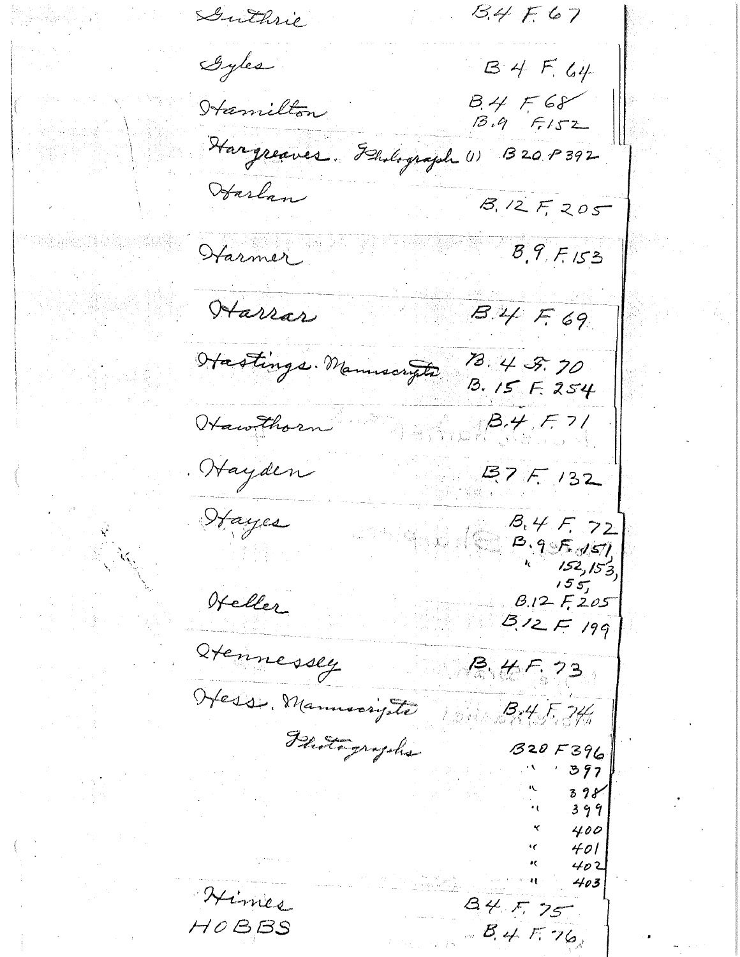Guthrie  $13.4 F67$ Gyles  $34F.64$  $B.4568$ <br> $B.952$ Hamilton Hargreaves. Flinlograph (1)  $3209392$ Harlan  $8.12F205$  $8,9,7,153$ Harmer Harrar  $B.44F.69$ Hastings. Manuscripts 13.4 3.70  $13.15F.254$ Hawthorn  $\beta + 7/$ Hayden  $27F/32$ Hayes  $B_{t}4F_{t}72$  $8.955051$  $152,153$  $155$ Heller  $8.125$  $3/2F/99$ dtennessey  $R.45.73$ Hesse Manuscripte - 1314 F, 34h Photographs  $320F396$ 397 399 400 401 402 403 Himes  $84575$  $HOB, BS$  $B.4576$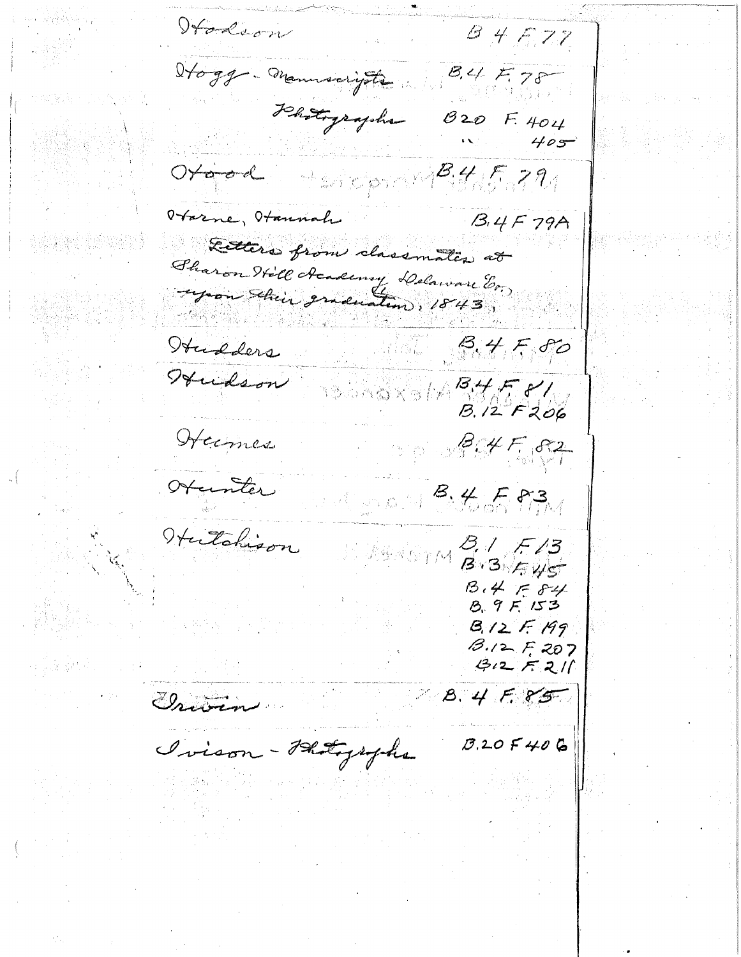Italson  $84577$ Hogg - manuscripte  $84578$ Jehotographs  $820$  F. 404  $B_{1}4/5.79$  $\hat{\mathcal{T}}\subset\mathcal{D}\subset\mathcal{N}$  $B.4F79A$ Harne, Hannah Retters from classmates at Sharon Hill Academy Delaware En Hudders  $8.4580$ Hudson B.12 F206 Hermes  $877.87$ Otanter san S. La Fig. Hutchison HOTH BIBLEYS  $B.4 584$  $8.9F153$  $B_{1}/2F_{1}H9$  $13.12$  F, 207  $312721$ **B.4 F.85** Grave Ivison - Photographs  $0.205406$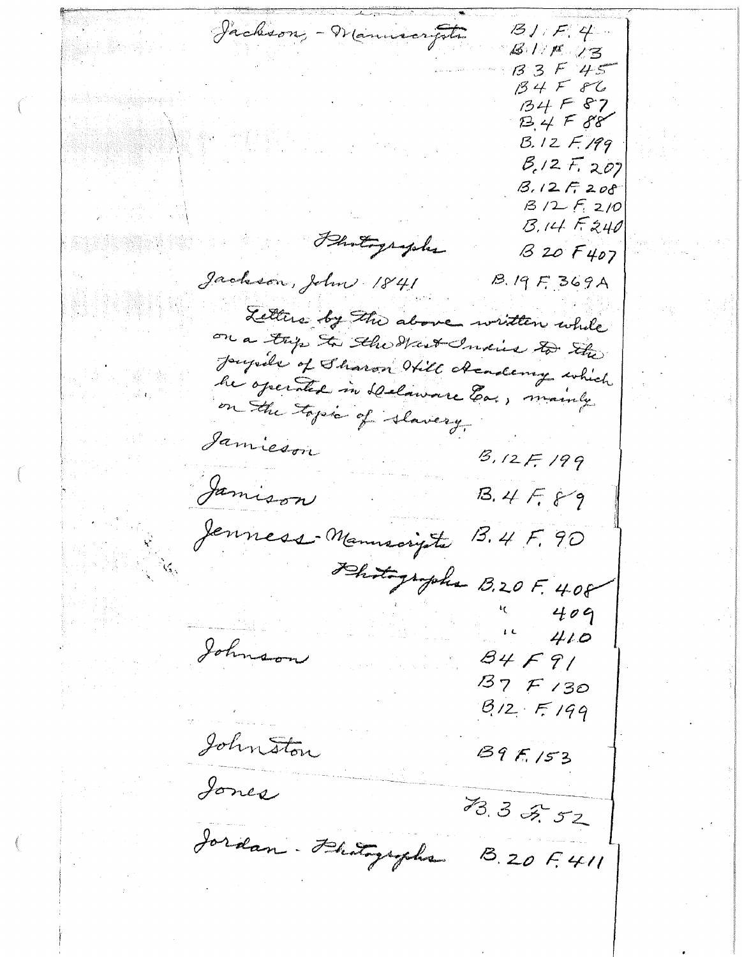Jackson, - Wannscripter  $B1. F. 4.$  $8175$  $33545$  $34F86$  $134F87$  $134F88$  $B.12F.199$  $B_1/2 F_{1202}$  $3.12F208$  $13/2$   $F_{1}$   $2/0$  $B.14F240$ Photographs  $B20F407$ Jackson, John 1841  $B.19F.369A$ Letters by the above written while on a trip to the Hart India to the Joseph's of Sharon Will creading which he operated in Delaware Ea., mainly on the topic of slavery. Jamieson  $3.12F.199$ Jamison  $13.4F.89$ Jenness Manuscripte 13.4 F, 90 That prophe B.20F. 4.08 409  $410$ Johnson  $84F91$  $37F130$  $812 + 199$ Johnston  $89F, 153$ Jones 73.3 2.52 Jordan . Hatographs  $8.20f.411$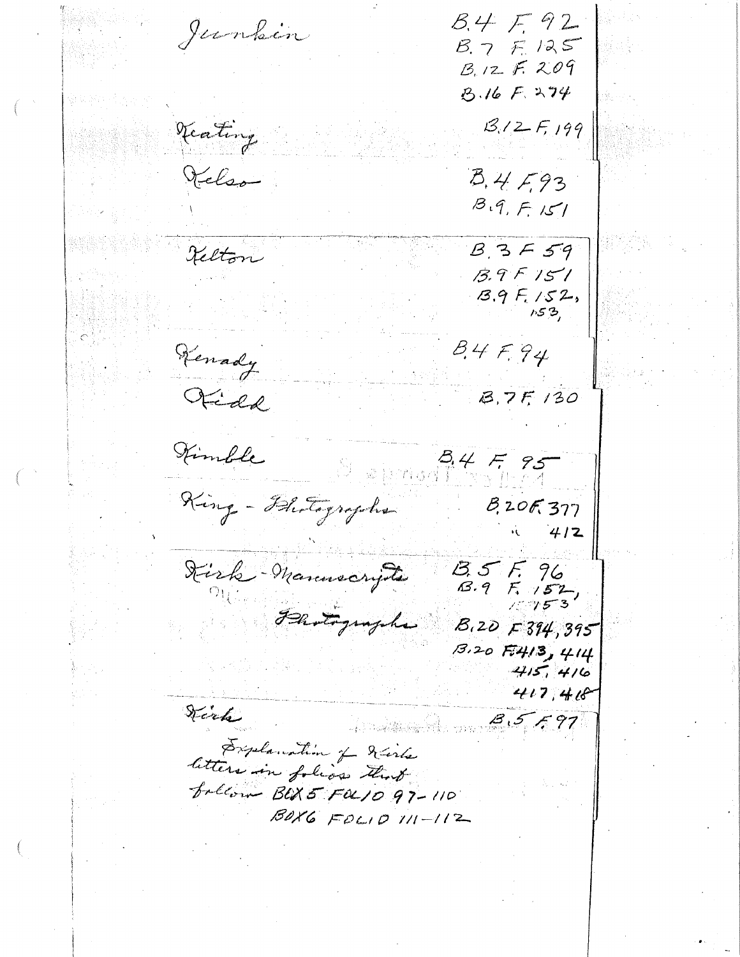$B.4F92$ Junkin  $8.7F.125$  $B.12 F. 209$ B.16 F. 274  $13.12F, 199$ Veating Kelso  $B.4F.93$  $B.9, F.151$  $B.3F59$ Kelton  $13.9F151$  $13.9F_{1}/52,$  $153,$ Kenady  $84F94$ Fidd B.7F. 130 Kimble  $34595$  $377.50$ King - Bhotographs  $8.20F.377$  $412$ Kirk Manuscripts  $35F, 96$ <br> $3.9F, 152$ Flotographs  $B.20$   $F374,395$  $13.20$   $F413$ ,  $414$  $415, 416$ 417,418 Stark  $3.5797$ Explanation of diste letters in folios that  $f$ rllow BUS FOL10 97-110  $B0X6 F0C10111-112$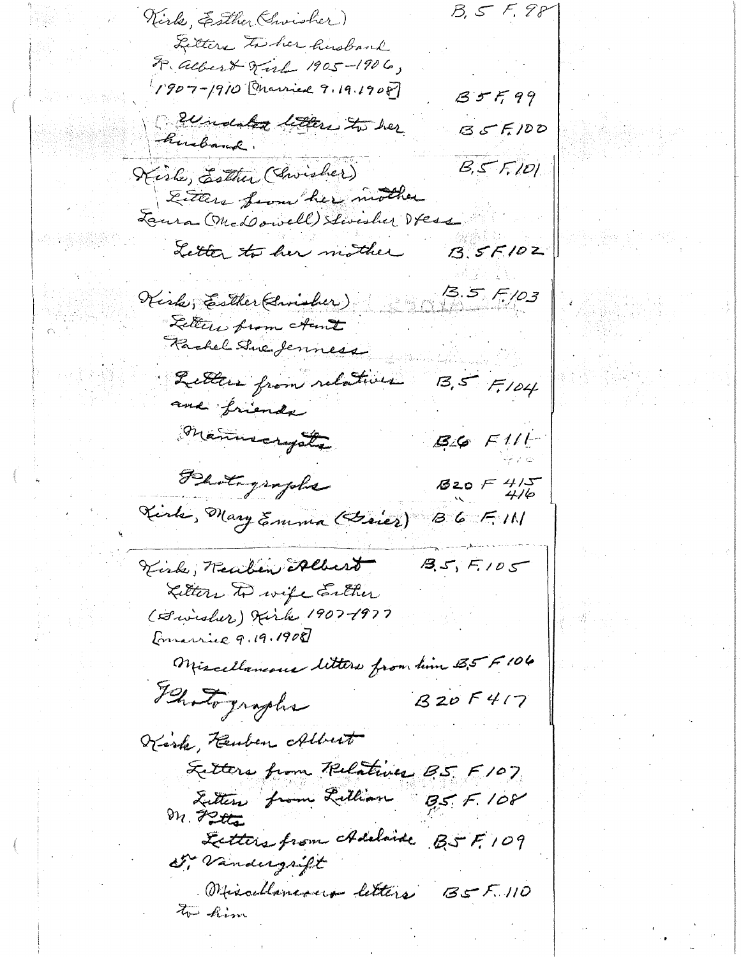$B, 555. 88$ Virk, Esther (Swisher) Litters to her husbank F. albert Sirl 1905-1906, 1907-1910 Onarried 9.19.1908  $85799$ Beendated letters to her  $35F100$ husband.  $B, S$   $F, 101$ Kisle, Esther (Christier) Either from her mother Laura (Med owell) Swisher Vess Letter to her mother  $3.5F102$ 13.5 F. 103 Kiske, Esther (Swisher) Letters from Aunt Rachel Sine Jenness  $13,57$   $F$ 104 Littles from relatives and friends mannecrysts  $B6$   $F111$ Photographs  $820 F 415$ Kirk, Mary Emma (Grier)  $36F$  M Kirk; Reaben Albert  $35, 5, 105$ Litters to wife Enther (Swisher) Kirk 1907-1977 Emarrie 9.19.1908 Miscellaneous litters from him 5,5 F 106 Blotographs  $820F417$ Kisk, Kemben Albert Letters from Relatives B5 F107 Litter from Littlan  $BS. F. 108$ Letters from Adelaide BSF, 109 Dr. Vandergrift Obiscollaneous letters BSF.110 to him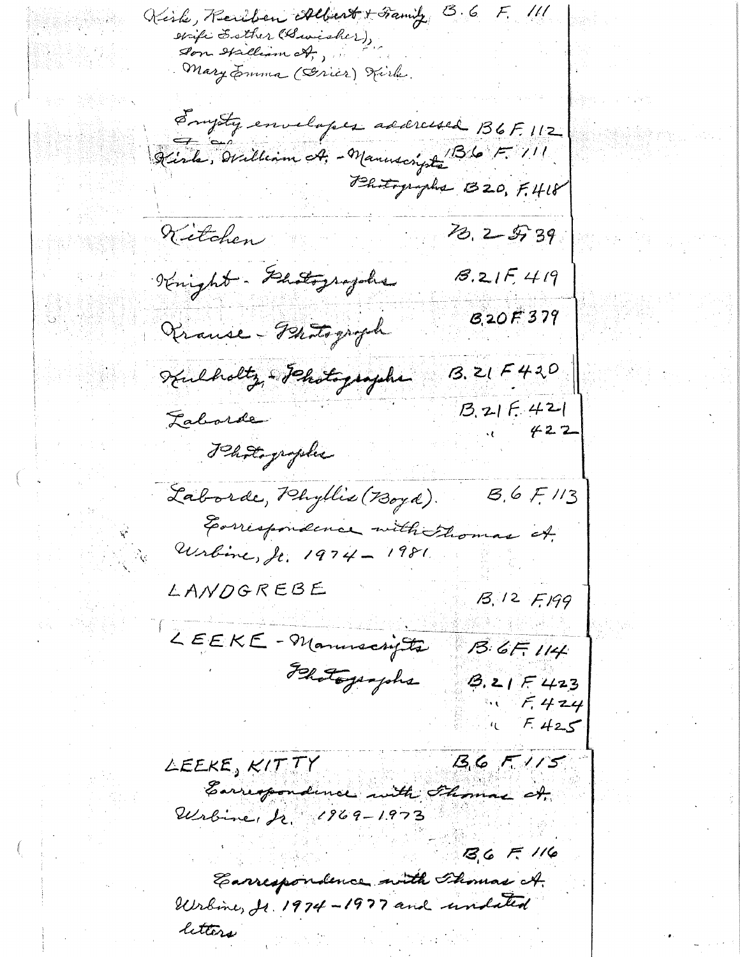Kirke, Realben Albert + Framity B.6 F. 111 swife Esther (Busisher), Son Halliam ct,, Mary Emma (Series) Tirle. Engety envelopes addressed B6F.112 Kisle, William A, - Manuscryste B6 F. 111 Bhitographs B20, F.418 13, 2 5, 39 Kitchen Knight - Glatographs  $8.215419$ B<sub>20</sub>F379 Vrause-Photograph  $3.21F420$ Kulholtz - Jehotographe  $13.215.421$ Laborde Photographie Laborde, Phyllis (Boyd).  $8,65/13$ Earrespondence with thomas it.<br>Wrbine, Jr. 1974 - 1981 LANDGREBE B. 12 F.199 LEEKE-Manuscripts  $13.6F$ ,  $114$ Felotographs  $3.21F423$  $F.424$  $F.425$  $13.6$   $F/15$ LEEKE, KITTY Earrespondence with Flomas of Wrbine, Jr. 1969-1973  $36F116$ Carrespondence with Thomas A. Wrbine, Jr. 1974-1977 and undated letters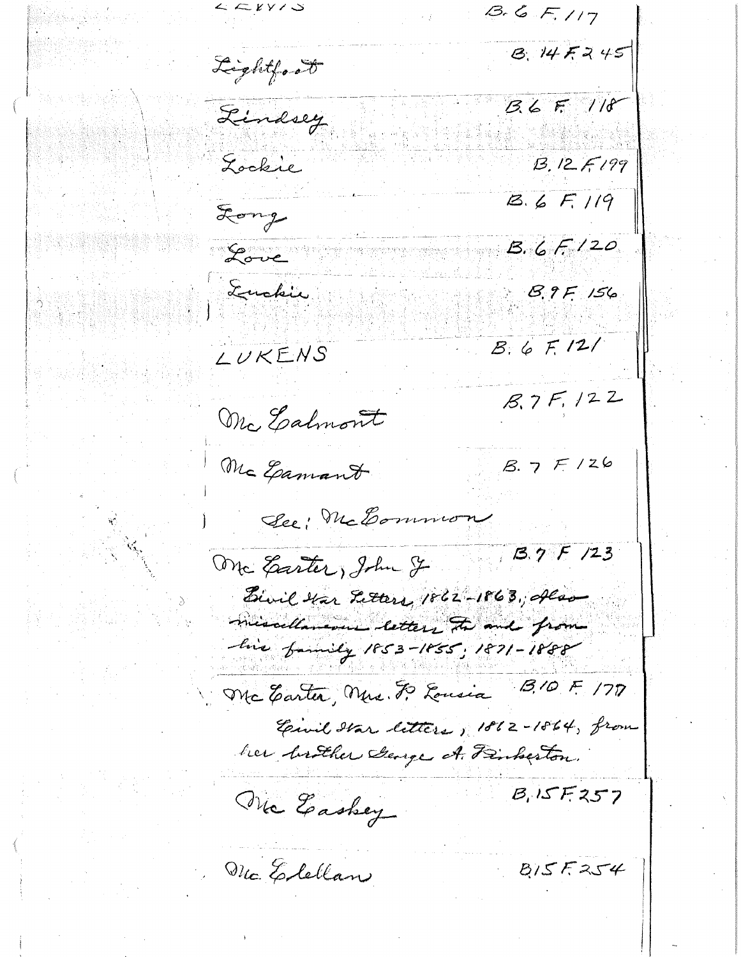$\mathcal{L} \subset$  KY /  $\mathcal{S}$  $B.6F.117$ B. 14F245 Lightford  $36F/18$ Lindsey Lockie  $13.12F199$  $18.6 F.119$ Long  $B.6F/20$ Love Euckie **B.9F 156**  $B.6F.121$ LUKENS  $8.7F, 122$ Mc Ealmont  $8.7F/26$ Mc Gamant See: McCommon  $3.7F/23$ One Garter, John J. Bivil Har Fetters, 1862-1863, Alan missellaneous letters the and from his family 1853-1855, 1871-1888  $B/0 F 177$ Mc Carter, Ners. F. Lousia Einil Star litters, 1862-1864, from her brother George A. Finberton.  $B, 15F.257$ The Easkey Mc. Elellan  $815F254$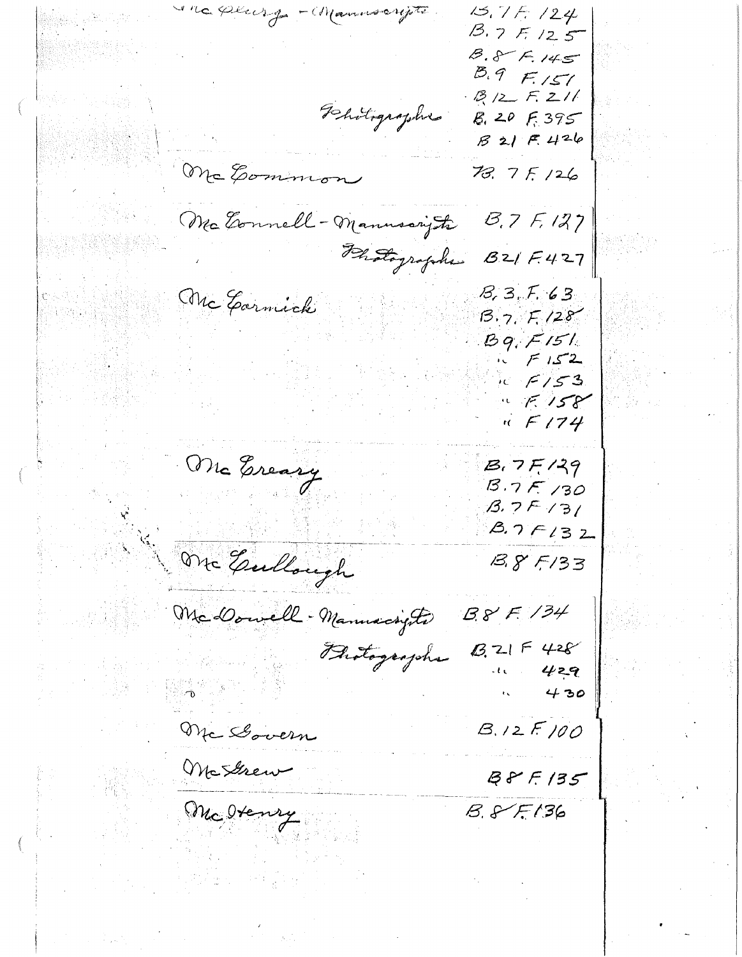une plus g - Manuscripti  $15.7F.124$  $13.7$  F. 125  $8.8 F.145$  $8.9 F151$  $B/2 F.211$ Dhotographie  $8.20$   $5.395$  $B21F426$ Mc Common  $78.7F/26$ Mc Eonnell - Manusary the  $B.7F.127$ Photographe B21 F.427 Mc Garnick  $B, 3, 7, 63$  $B.7. F. 128$  $Bq$ ,  $F151$  $\sqrt{5}/52$  $\sim$   $F/53$  $\mathbb{R}$  F. 158  $\pi$  F174 Mc Ereary  $B.7F/39$  $3.7F/30$  $B.7F/31$  $8.7F132$ One Gullough  $385/33$  $38F/34$ McDowell - Manuscripts  $8.215428$ Brotographs 429 . the  $\zeta$ 430  $B.12F100$ Mc Govern McStrew  $B F F / 35$  $8.875136$ Mc Otenry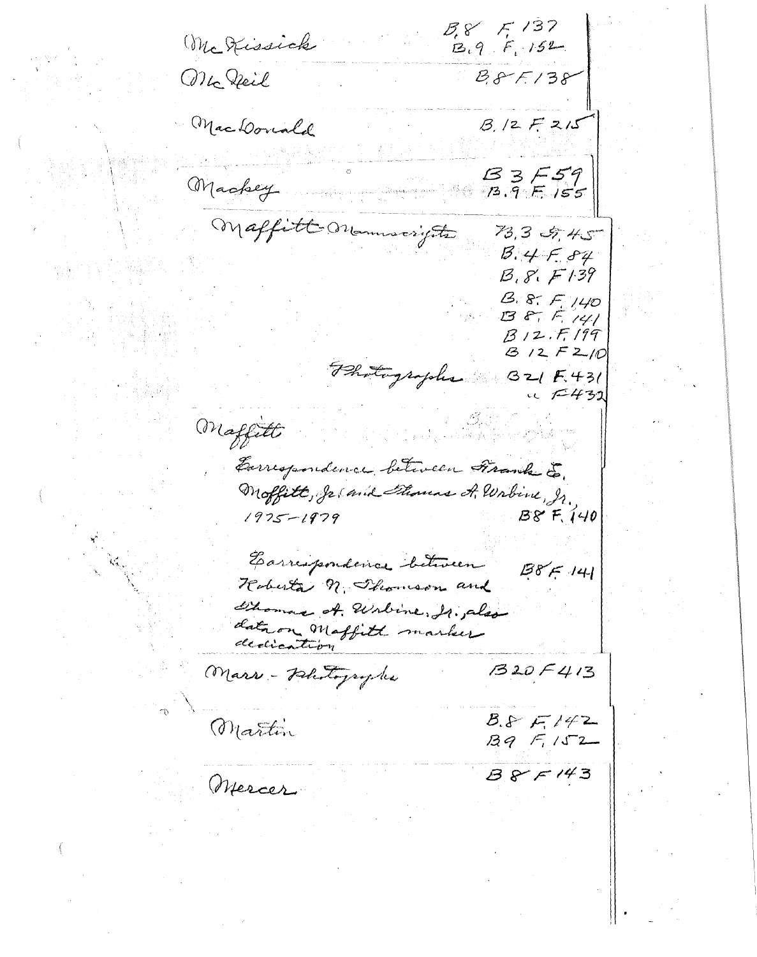$3.8'$  F, 137 Mc Kissick  $B.9F.152$ Mc Deil  $88F/38$ Mac Conald  $B/2F2/5$  $3557$ Machey Maffitt Monumerights 73,3 5,45  $3.4F.84$  $B, S, F$ 139  $B.8. F. 140$  $B 8, 5, 141$  $B12.77199$  $312 F210$ Photographs  $321F.431$  $u \in 432$ Maffitte Europendeure between Frank E. Moffitt, Je and Thomas A. Wabine, In.  $B8F, 140$  $1975 - 1979$ Earrespondence between  $1387 - 141$ Hoberta n. Thomson and Thomas of Wolvine, Ir. also data on Maffith marker  $1320F413$ Mars - Petertographe  $8.8F142$ Martin  $39 - 152$  $385143$ Mercer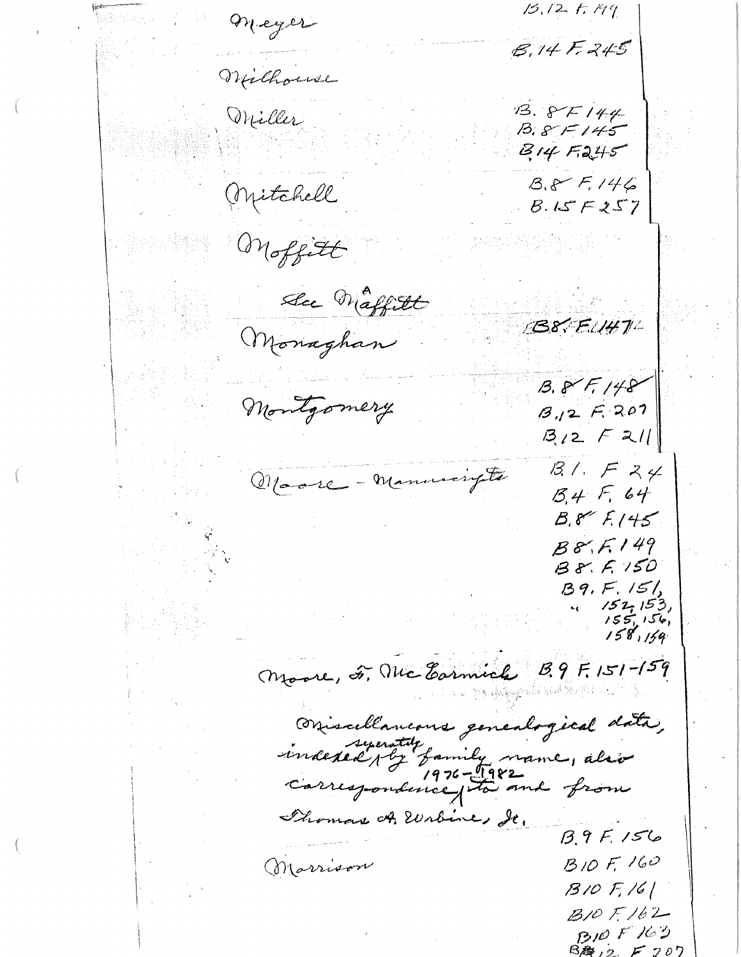$15.12.1.19$ Meyer  $8.14F - 245$ Wilhouse  $13.8F144$ Miller  $B.8F145$  $814F245$  $8.8 F.146$ (Mitchell  $B.15F257$ Moffitt See Maffitt B8. F.147L Monaghan  $B.8 F.148$ Montgomery  $B_{11}2F.207$  $3/2$   $F$  211  $B/LFZ4$ Marce - Manuscripta  $15.4F.64$  $B.855.145$  $B8, F.149$  $B8.5150$  $B9, F.151$  $152, 153$  $155, 156,$ <br> $158, 159$ Moore, F. Mc Earnich B. 9 F. 151-159 Oriscellancous genealogical data, indexed by family name, also Thomas A. Wrbine, Je.  $B.9F.156$  $B$  10  $F$ , 160 Marrison  $310F/6$  $B10F162$  $BDOF K3$  $B$   $\mathcal{B}$  ,  $\circ$  ,  $F$   $\circ$   $\circ$   $\circ$   $\circ$